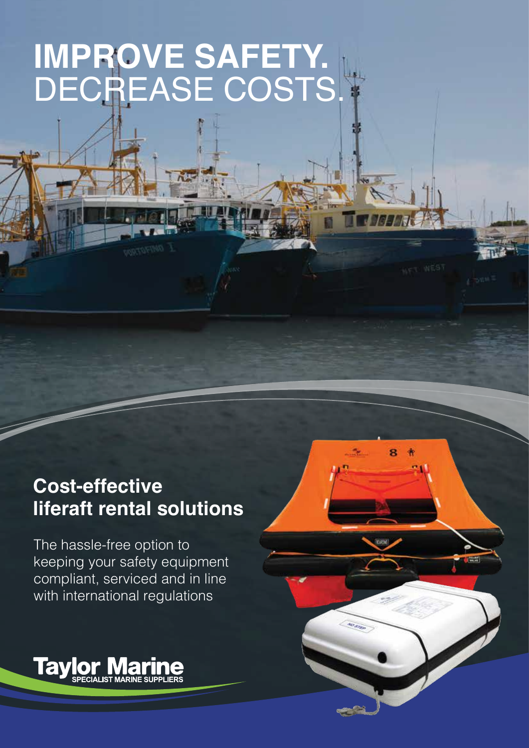# **IMPROVE SAFETY.** DECREASE COSTS.

## **Cost-effective liferaft rental solutions**

8

The hassle-free option to keeping your safety equipment compliant, serviced and in line with international regulations